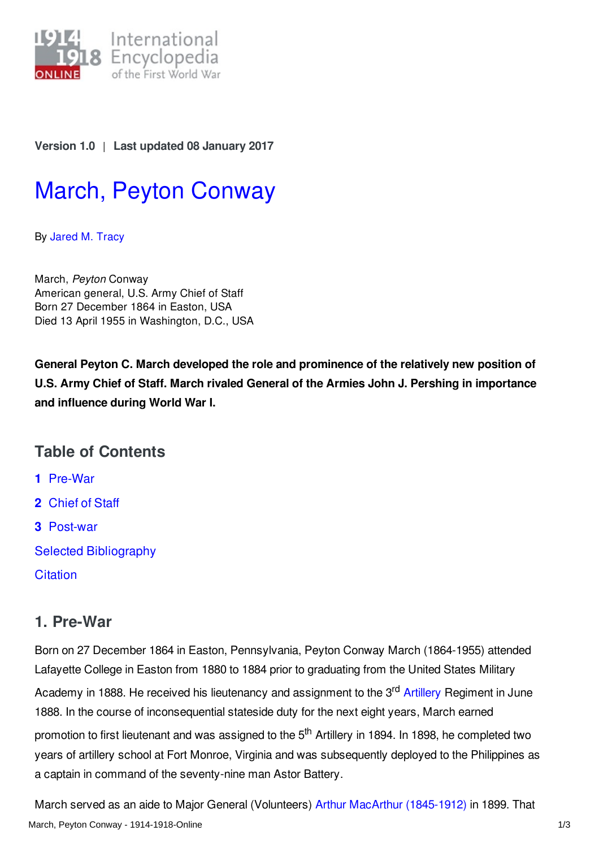

**Version 1.0** | **Last updated 08 January 2017**

# March, Peyton [Conway](http://encyclopedia.1914-1918-online.net/article/march_peyton_conway)

By [Jared](http://encyclopedia.1914-1918-online.net/contributors/Jared_M._Tracy) M. Tracy

March, *Peyton* Conway American general, U.S. Army Chief of Staff Born 27 December 1864 in Easton, USA Died 13 April 1955 in Washington, D.C., USA

**General Peyton C. March developed the role and prominence of the relatively new position of U.S. Army Chief of Staff. March rivaled General of the Armies John J. Pershing in importance and influence during World War I.**

## **Table of Contents**

**1** [Pre-War](#page-0-0)

- **2** [Chief](#page-1-0) of Staff
- **3** [Post-war](#page-2-0)
- Selected [Bibliography](#page-2-1)
- **[Citation](#page-2-2)**

## <span id="page-0-0"></span>**1. Pre-War**

Born on 27 December 1864 in Easton, Pennsylvania, Peyton Conway March (1864-1955) attended Lafayette College in Easton from 1880 to 1884 prior to graduating from the United States Military Academy in 1888. He received his lieutenancy and assignment to the 3<sup>rd</sup> [Artillery](/article/artillery) Regiment in June 1888. In the course of inconsequential stateside duty for the next eight years, March earned promotion to first lieutenant and was assigned to the 5<sup>th</sup> Artillery in 1894. In 1898, he completed two years of artillery school at Fort Monroe, Virginia and was subsequently deployed to the Philippines as a captain in command of the seventy-nine man Astor Battery.

March served as an aide to Major General (Volunteers) Arthur MacArthur [\(1845-1912\)](/index/names/119251795) in 1899. That March, Peyton Conway - 1914-1918-Online 1/3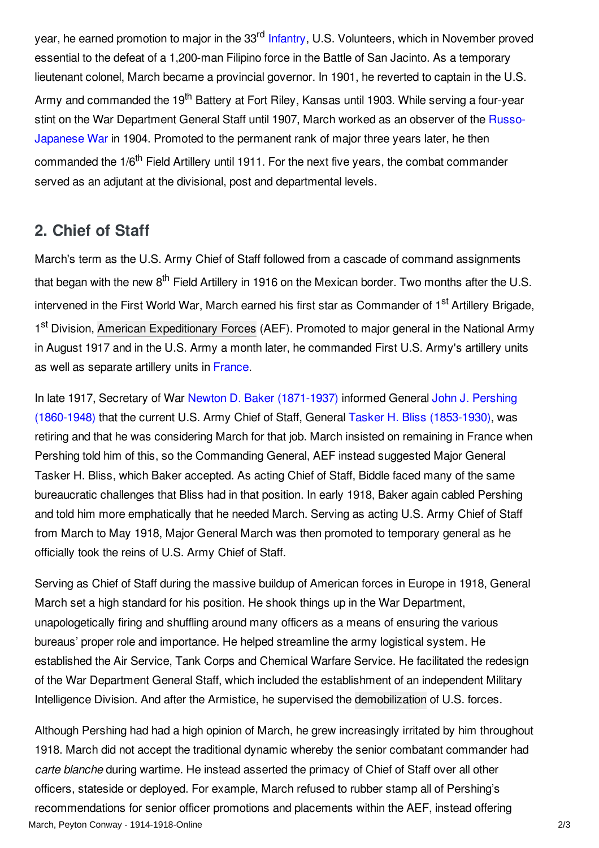year, he earned promotion to major in the 33<sup>rd</sup> [Infantry](/article/infantry), U.S. Volunteers, which in November proved essential to the defeat of a 1,200-man Filipino force in the Battle of San Jacinto. As a temporary lieutenant colonel, March became a provincial governor. In 1901, he reverted to captain in the U.S. Army and commanded the 19<sup>th</sup> Battery at Fort Riley, Kansas until 1903. While serving a four-year stint on the War [Department](/article/russian-japanese-war) General Staff until 1907, March worked as an observer of the Russo-Japanese War in 1904. Promoted to the permanent rank of major three years later, he then commanded the 1/6<sup>th</sup> Field Artillery until 1911. For the next five years, the combat commander served as an adjutant at the divisional, post and departmental levels.

## <span id="page-1-0"></span>**2. Chief of Staff**

March's term as the U.S. Army Chief of Staff followed from a cascade of command assignments that began with the new 8<sup>th</sup> Field Artillery in 1916 on the Mexican border. Two months after the U.S. intervened in the First World War, March earned his first star as Commander of 1<sup>st</sup> Artillery Brigade, 1<sup>st</sup> Division, American [Expeditionary](/article/american_expeditionary_forces) Forces (AEF). Promoted to major general in the National Army in August 1917 and in the U.S. Army a month later, he commanded First U.S. Army's artillery units as well as separate artillery units in [France](/article/france).

In late 1917, Secretary of War Newton D. Baker [\(1871-1937\)](/index/names/1012436446) informed General John J. Pershing (1860-1948) that the current U.S. Army Chief of Staff, General Tasker H. Bliss [\(1853-1930\),](/index/names/12035506X) was retiring and that he was considering March for that job. March insisted on remaining in France when Pershing told him of this, so the Commanding General, AEF instead suggested Major General Tasker H. Bliss, which Baker accepted. As acting Chief of Staff, Biddle faced many of the same bureaucratic challenges that Bliss had in that position. In early 1918, Baker again cabled Pershing and told him more emphatically that he needed March. Serving as acting U.S. Army Chief of Staff from March to May 1918, Major General March was then promoted to temporary general as he officially took the reins of U.S. Army Chief of Staff.

Serving as Chief of Staff during the massive buildup of American forces in Europe in 1918, General March set a high standard for his position. He shook things up in the War Department, unapologetically firing and shuffling around many officers as a means of ensuring the various bureaus' proper role and importance. He helped streamline the army logistical system. He established the Air Service, Tank Corps and Chemical Warfare Service. He facilitated the redesign of the War Department General Staff, which included the establishment of an independent Military Intelligence Division. And after the Armistice, he supervised the [demobilization](/article/demobilization) of U.S. forces.

Although Pershing had had a high opinion of March, he grew increasingly irritated by him throughout 1918. March did not accept the traditional dynamic whereby the senior combatant commander had *carte blanche* during wartime. He instead asserted the primacy of Chief of Staff over all other officers, stateside or deployed. For example, March refused to rubber stamp all of Pershing's recommendations for senior officer promotions and placements within the AEF, instead offering March, Peyton Conway - 1914-1918-Online 2/3